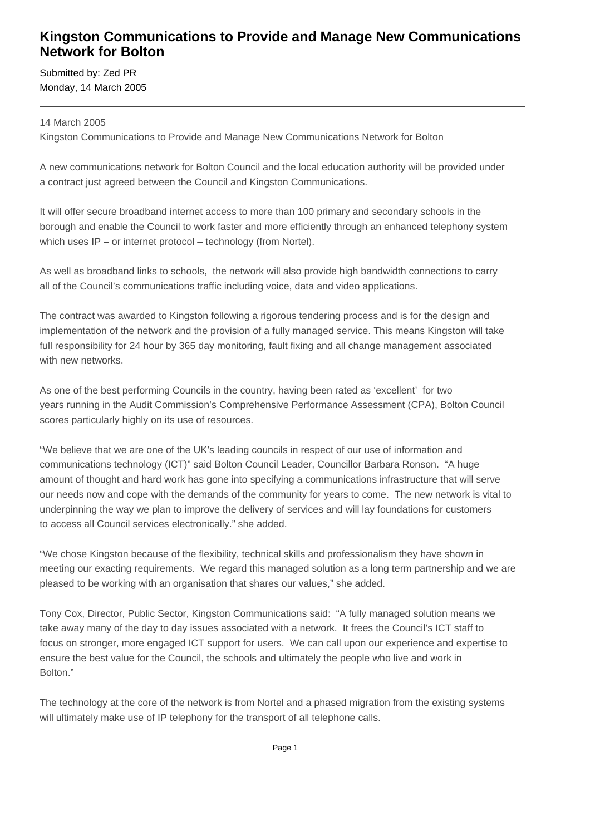## **Kingston Communications to Provide and Manage New Communications Network for Bolton**

Submitted by: Zed PR Monday, 14 March 2005

## 14 March 2005

Kingston Communications to Provide and Manage New Communications Network for Bolton

A new communications network for Bolton Council and the local education authority will be provided under a contract just agreed between the Council and Kingston Communications.

It will offer secure broadband internet access to more than 100 primary and secondary schools in the borough and enable the Council to work faster and more efficiently through an enhanced telephony system which uses IP – or internet protocol – technology (from Nortel).

As well as broadband links to schools, the network will also provide high bandwidth connections to carry all of the Council's communications traffic including voice, data and video applications.

The contract was awarded to Kingston following a rigorous tendering process and is for the design and implementation of the network and the provision of a fully managed service. This means Kingston will take full responsibility for 24 hour by 365 day monitoring, fault fixing and all change management associated with new networks.

As one of the best performing Councils in the country, having been rated as 'excellent' for two years running in the Audit Commission's Comprehensive Performance Assessment (CPA), Bolton Council scores particularly highly on its use of resources.

"We believe that we are one of the UK's leading councils in respect of our use of information and communications technology (ICT)" said Bolton Council Leader, Councillor Barbara Ronson. "A huge amount of thought and hard work has gone into specifying a communications infrastructure that will serve our needs now and cope with the demands of the community for years to come. The new network is vital to underpinning the way we plan to improve the delivery of services and will lay foundations for customers to access all Council services electronically." she added.

"We chose Kingston because of the flexibility, technical skills and professionalism they have shown in meeting our exacting requirements. We regard this managed solution as a long term partnership and we are pleased to be working with an organisation that shares our values," she added.

Tony Cox, Director, Public Sector, Kingston Communications said: "A fully managed solution means we take away many of the day to day issues associated with a network. It frees the Council's ICT staff to focus on stronger, more engaged ICT support for users. We can call upon our experience and expertise to ensure the best value for the Council, the schools and ultimately the people who live and work in Bolton."

The technology at the core of the network is from Nortel and a phased migration from the existing systems will ultimately make use of IP telephony for the transport of all telephone calls.